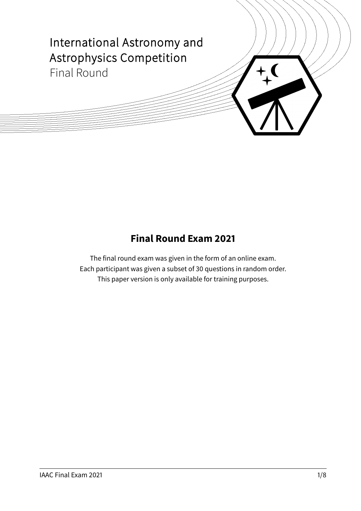

## **Final Round Exam 2021**

The final round exam was given in the form of an online exam. Each participant was given a subset of 30 questions in random order. This paper version is only available for training purposes.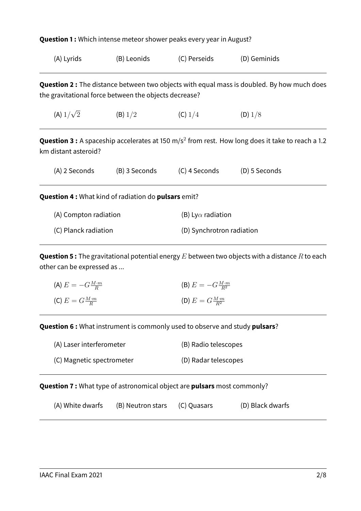| <b>Question 1:</b> Which intense meteor shower peaks every year in August? |                                                                   |                           |                                                                                                                     |  |
|----------------------------------------------------------------------------|-------------------------------------------------------------------|---------------------------|---------------------------------------------------------------------------------------------------------------------|--|
| (A) Lyrids                                                                 | (B) Leonids                                                       | (C) Perseids              | (D) Geminids                                                                                                        |  |
|                                                                            | the gravitational force between the objects decrease?             |                           | <b>Question 2 :</b> The distance between two objects with equal mass is doubled. By how much does                   |  |
| (A) $1/\sqrt{2}$                                                           | (B) 1/2                                                           | (C) $1/4$                 | (D) 1/8                                                                                                             |  |
| km distant asteroid?                                                       |                                                                   |                           | <b>Question 3 :</b> A spaceship accelerates at 150 m/s <sup>2</sup> from rest. How long does it take to reach a 1.2 |  |
| (A) 2 Seconds                                                              | (B) 3 Seconds                                                     | (C) 4 Seconds             | (D) 5 Seconds                                                                                                       |  |
|                                                                            | <b>Question 4:</b> What kind of radiation do <b>pulsars</b> emit? |                           |                                                                                                                     |  |
| (A) Compton radiation                                                      |                                                                   | (B) Ly $\alpha$ radiation |                                                                                                                     |  |
| (C) Planck radiation                                                       |                                                                   | (D) Synchrotron radiation |                                                                                                                     |  |

**Question 5 :** The gravitational potential energy E between two objects with a distance R to each other can be expressed as ...

| (A) $E = -G \frac{M \cdot m}{R}$ | (B) $E = -G \frac{M \cdot m}{R^2}$ |
|----------------------------------|------------------------------------|
| (C) $E = G \frac{M \cdot m}{R}$  | (D) $E = G \frac{M \cdot m}{R^2}$  |

**Question 6 :** What instrument is commonly used to observe and study **pulsars**?

| (A) Laser interferometer  | (B) Radio telescopes |
|---------------------------|----------------------|
| (C) Magnetic spectrometer | (D) Radar telescopes |

**Question 7 :** What type of astronomical object are **pulsars** most commonly?

| (A) White dwarfs | (B) Neutron stars | (C) Quasars | (D) Black dwarfs |
|------------------|-------------------|-------------|------------------|
|------------------|-------------------|-------------|------------------|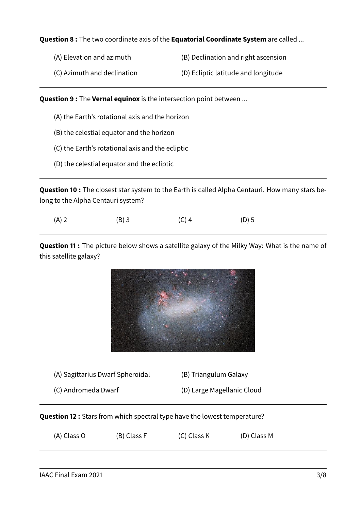## **Question 8 :** The two coordinate axis of the **Equatorial Coordinate System** are called ...

- (A) Elevation and azimuth (B) Declination and right ascension
- (C) Azimuth and declination (D) Ecliptic latitude and longitude

**Question 9 :** The **Vernal equinox** is the intersection point between ...

- (A) the Earth's rotational axis and the horizon
- (B) the celestial equator and the horizon
- (C) the Earth's rotational axis and the ecliptic
- (D) the celestial equator and the ecliptic

**Question 10 :** The closest star system to the Earth is called Alpha Centauri. How many stars belong to the Alpha Centauri system?

| $(A)$ 2 | $(B)$ 3 | $(C)$ 4 | $(D)$ 5 |
|---------|---------|---------|---------|
|---------|---------|---------|---------|

**Question 11 :** The picture below shows a satellite galaxy of the Milky Way: What is the name of this satellite galaxy?



(A) Sagittarius Dwarf Spheroidal (B) Triangulum Galaxy

- (C) Andromeda Dwarf (D) Large Magellanic Cloud
- 

**Question 12 :** Stars from which spectral type have the lowest temperature?

| (A) Class O | (B) Class F | (C) Class K | (D) Class M |  |
|-------------|-------------|-------------|-------------|--|
|-------------|-------------|-------------|-------------|--|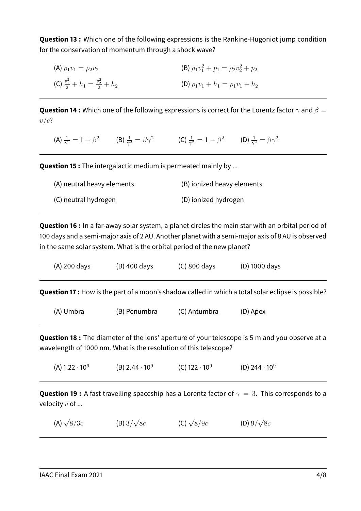**Question 13 :** Which one of the following expressions is the Rankine-Hugoniot jump condition for the conservation of momentum through a shock wave?

(A)  $\rho_1v_1 = \rho_2v_2$  $p_1^2 + p_1 = \rho_2 v_2^2 + p_2$ (C)  $\frac{v_1^2}{2} + h_1 = \frac{v_2^2}{2}$ (D)  $\rho_1 v_1 + h_1 = \rho_1 v_1 + h_2$ 

**Question 14 :** Which one of the following expressions is correct for the Lorentz factor  $\gamma$  and  $\beta =$  $v/c$ ?

(A)  $\frac{1}{\gamma^2} = 1 + \beta^2$  (B)  $\frac{1}{\gamma^2} = \beta \gamma^2$  (C)  $\frac{1}{\gamma^2} = 1 - \beta^2$  (D)  $\frac{1}{\gamma^2} = \beta \gamma^2$ 

**Question 15 :** The intergalactic medium is permeated mainly by ...

| (A) neutral heavy elements | (B) ionized heavy elements |
|----------------------------|----------------------------|
| (C) neutral hydrogen       | (D) ionized hydrogen       |

**Question 16 :** In a far-away solar system, a planet circles the main star with an orbital period of 100 days and a semi-major axis of 2 AU. Another planet with a semi-major axis of 8 AU is observed in the same solar system. What is the orbital period of the new planet?

| (A) 200 days                                                                                                                                                              | (B) 400 days | (C) 800 days | (D) 1000 days                                                                                              |  |
|---------------------------------------------------------------------------------------------------------------------------------------------------------------------------|--------------|--------------|------------------------------------------------------------------------------------------------------------|--|
|                                                                                                                                                                           |              |              | <b>Question 17 :</b> How is the part of a moon's shadow called in which a total solar eclipse is possible? |  |
| (A) Umbra                                                                                                                                                                 | (B) Penumbra | (C) Antumbra | (D) Apex                                                                                                   |  |
| <b>Question 18 :</b> The diameter of the lens' aperture of your telescope is 5 m and you observe at a<br>wavelength of 1000 nm. What is the resolution of this telescope? |              |              |                                                                                                            |  |

 $(A)$  1.22  $\cdot$  10<sup>9</sup>  $(B)$  2.44  $\cdot$  10<sup>9</sup> (C)  $122 \cdot 10^9$ (D) 244 $\cdot$ 10<sup>9</sup>

**Question 19 :** A fast travelling spaceship has a Lorentz factor of  $\gamma = 3$ . This corresponds to a velocity  $v$  of  $\ldots$ 

(A)  $\sqrt{8}/3c$  $8/3c$  (B)  $3/$  $\sqrt{8}c$  (C)  $\sqrt{ }$  $8/9c$  (D)  $9/$ √  $8c$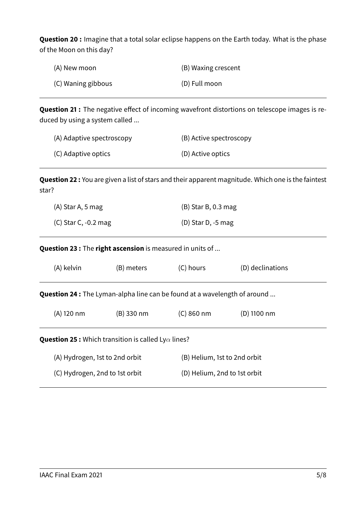**Question 20 :** Imagine that a total solar eclipse happens on the Earth today. What is the phase of the Moon on this day?

| (A) New moon       | (B) Waxing crescent |
|--------------------|---------------------|
| (C) Waning gibbous | (D) Full moon       |

**Question 21 :** The negative effect of incoming wavefront distortions on telescope images is reduced by using a system called ...

| (A) Adaptive spectroscopy | (B) Active spectroscopy |
|---------------------------|-------------------------|
| (C) Adaptive optics       | (D) Active optics       |

**Question 22 :** You are given a list of stars and their apparent magnitude. Which one is the faintest star?

| (A) Star A, 5 mag      | $(B)$ Star B, 0.3 mag |
|------------------------|-----------------------|
| $(C)$ Star C, -0.2 mag | (D) Star D, $-5$ mag  |

**Question 23 :** The **right ascension** is measured in units of ...

| (A) kelvin                                                                       | (B) meters | (C) hours    | (D) declinations             |  |
|----------------------------------------------------------------------------------|------------|--------------|------------------------------|--|
| <b>Question 24 :</b> The Lyman-alpha line can be found at a wavelength of around |            |              |                              |  |
| (A) 120 nm                                                                       | (B) 330 nm | $(C)$ 860 nm | (D) 1100 nm                  |  |
| <b>Question 25 :</b> Which transition is called Ly $\alpha$ lines?               |            |              |                              |  |
| (A) Hydrogen, 1st to 2nd orbit                                                   |            |              | (B) Helium, 1st to 2nd orbit |  |
| (C) Hydrogen, 2nd to 1st orbit                                                   |            |              | (D) Helium, 2nd to 1st orbit |  |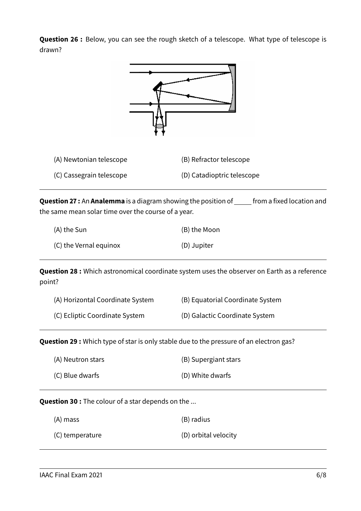**Question 26 :** Below, you can see the rough sketch of a telescope. What type of telescope is drawn?



**Question 27 :** An **Analemma** is a diagram showing the position of **full to the fixed location and** the same mean solar time over the course of a year.

| (A) the Sun            | (B) the Moon |
|------------------------|--------------|
| (C) the Vernal equinox | (D) Jupiter  |

**Question 28 :** Which astronomical coordinate system uses the observer on Earth as a reference point?

| (A) Horizontal Coordinate System | (B) Equatorial Coordinate System |
|----------------------------------|----------------------------------|
| (C) Ecliptic Coordinate System   | (D) Galactic Coordinate System   |

**Question 29 :** Which type of star is only stable due to the pressure of an electron gas?

| (A) Neutron stars | (B) Supergiant stars |
|-------------------|----------------------|
| (C) Blue dwarfs   | (D) White dwarfs     |

**Question 30 :** The colour of a star depends on the ...

| (A) mass | (B) radius |
|----------|------------|
|          |            |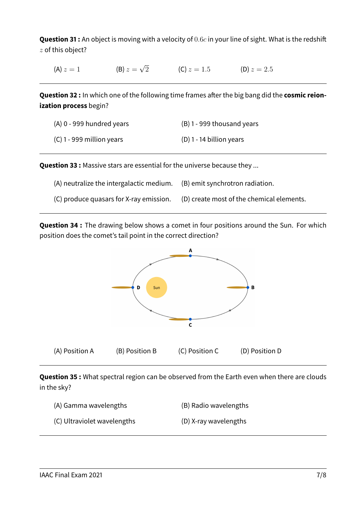**Question 31 :** An object is moving with a velocity of 0.6c in your line of sight. What is the redshift  $z$  of this object?

(A)  $z = 1$ (B)  $z=\sqrt{2}$ (C)  $z = 1.5$  (D)  $z = 2.5$ 

**Question 32 :** In which one of the following time frames after the big bang did the **cosmic reionization process** begin?

| $(A)$ 0 - 999 hundred years | $(B)$ 1 - 999 thousand years |
|-----------------------------|------------------------------|
| $(C)$ 1 - 999 million years | (D) 1 - 14 billion years     |

**Question 33 :** Massive stars are essential for the universe because they ...

- (A) neutralize the intergalactic medium. (B) emit synchrotron radiation.
- (C) produce quasars for X-ray emission. (D) create most of the chemical elements.

**Question 34 :** The drawing below shows a comet in four positions around the Sun. For which position does the comet's tail point in the correct direction?



**Question 35 :** What spectral region can be observed from the Earth even when there are clouds in the sky?

- (A) Gamma wavelengths (B) Radio wavelengths
- (C) Ultraviolet wavelengths (D) X-ray wavelengths